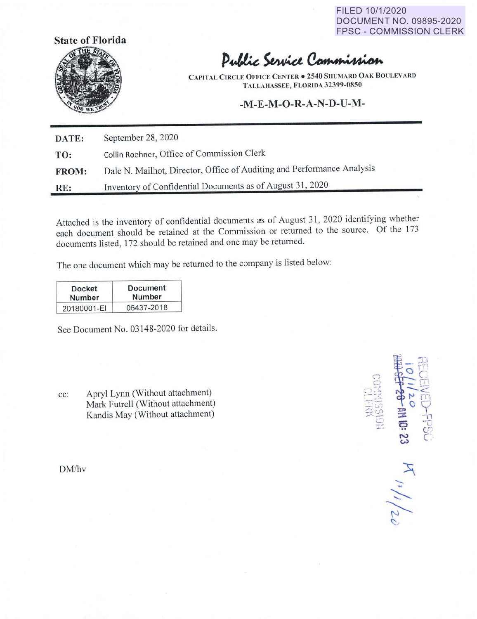FILED 10/1/2020 DOCUMENT NO. 09895-2020 FPSC - COMMISSION CLERK



## Public Service Commission

**CAPITAL CIRCLE OFFICE CENTER• 2540 SHUMARD OAK BO LEVARD T ALLAIIASSEE, FLORIDA 32399-0850** 

## **-M-E-M-0-R-A-N-D-U-M-**

**DATE:** September 28, 2020 **TO:** Collin Roehner, Office of Commission Clerk **FROM: RE:**  Dale N. Mailhot, Director, Office of Auditing and Performance Analysis Inventory of Confidential Documents as of August 31, 2020

Attached is the inventory of confidential documents as of August 31, 2020 identifying whether each document should be retained at the Commission or returned to the source. Of the 173 documents listed, 172 should be retained and one may be returned.

The one document which may be returned to the company is listed below:

| Docket      | Document   |
|-------------|------------|
| Number      | Number     |
| 20180001-EI | 06437-2018 |

See Document No. 03148-2020 for details.

cc: Apryl Lynn (Without attachment) Mark Futrell (Without attachment) Kandis May (Without attachment)

DM/hv

 $\Box$ . -.· 三、四  $n_1/1/20$ 

·-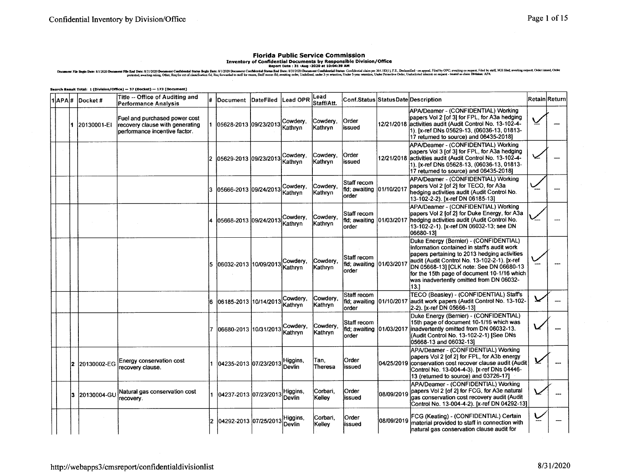## **Florida Public Service Commission**

Inventory of Confidential Documents by Responsible Division/Office<br>Bepara 31-Aug-2020 at 10:04:39 AM Simular 34 Aug-2020 at 10:04:39 AM Simular Simular Simular Simular Simular Simular Simular Simular Simular Simular Simula

Search Result Total: 1 (Division/Office) -- 37 (Docket) -- 173 (Document)

|  |     | $1$ $APA$ # Docket# | Title -- Office of Auditing and<br>Performance Analysis                                           |     | Document DateFiled    | Lead OPR                   | Lead<br>Staff/Att.  | Conf.Status Status Date Description                 |             |                                                                                                                                                                                                                                                                                                                                     | <b>Retain</b> Return |
|--|-----|---------------------|---------------------------------------------------------------------------------------------------|-----|-----------------------|----------------------------|---------------------|-----------------------------------------------------|-------------|-------------------------------------------------------------------------------------------------------------------------------------------------------------------------------------------------------------------------------------------------------------------------------------------------------------------------------------|----------------------|
|  |     | 1 20130001-EI       | Fuel and purchased power cost<br>recovery clause with generating<br>performance incentive factor. |     | 05628-2013 09/23/2013 | Cowdery,<br>Kathrvn        | Cowdery,<br>Kathrvn | Order<br>lissued                                    |             | APA/Deamer - (CONFIDENTIAL) Working<br>papers Vol 2 [of 3] for FPL, for A3a hedging<br>12/21/2018 activities audit (Audit Control No. 13-102-4-<br>1). [x-ref DNs 05629-13, (06036-13, 01813-<br>17 returned to source) and 06435-2018]                                                                                             |                      |
|  |     |                     |                                                                                                   |     | 05629-2013 09/23/2013 | Cowdery,<br>Kathryn        | Cowdery,<br>Kathryn | <b>Order</b><br>issued                              |             | APA/Deamer - (CONFIDENTIAL) Working<br>papers Vol 3 [of 3] for FPL, for A3a hedging<br>12/21/2018 activities audit (Audit Control No. 13-102-4-<br>1), [x-ref DNs 05628-13, (06036-13, 01813-<br>17 returned to source) and 06435-2018]                                                                                             |                      |
|  |     |                     |                                                                                                   |     | 05666-2013 09/24/2013 | Cowdery.<br>Kathrvn        | Cowdery,<br>Kathryn | Staff recom<br>fld; awaiting 01/10/2017<br>order    |             | APA/Deamer - (CONFIDENTIAL) Working<br>papers Vol 2 [of 2] for TECO, for A3a<br>hedging activities audit (Audit Control No.<br>13-102-2-2). [x-ref DN 06185-13]                                                                                                                                                                     |                      |
|  |     |                     |                                                                                                   |     | 05668-2013 09/24/2013 | Cowderv.<br><b>Kathryn</b> | Cowdery.<br>Kathryn | Staff recom<br>fld; awaiting 01/03/2017<br>order    |             | APA/Deamer - (CONFIDENTIAL) Working<br>papers Vol 2 [of 2] for Duke Energy, for A3a<br>hedging activities audit (Audit Control No.<br>13-102-2-1). [x-ref DN 06032-13; see DN<br>06680-131                                                                                                                                          |                      |
|  |     |                     |                                                                                                   | 5   | 06032-2013 10/09/2013 | Cowdery.<br>Kathryn        | Cowdery.<br>Kathryn | Staff recom<br>fld; awaiting<br>order               | 01/03/2017  | Duke Energy (Bernier) - (CONFIDENTIAL)<br>Information contained in staff's audit work<br>papers pertaining to 2013 hedging activities<br>audit (Audit Control No. 13-102-2-1). [x-ref<br>DN 05668-13] [CLK note: See DN 06680-13<br>for the 15th page of document 10-1/16 which<br>was inadvertently omitted from DN 06032-<br>13.1 |                      |
|  |     |                     |                                                                                                   | l6. | 06185-2013 10/14/2013 | Cowdery,<br>Kathrvn        | Cowdery,<br>Kathryn | Staff recom<br>fld: awaiting 01/10/2017<br>lorder   |             | TECO (Beasley) - (CONFIDENTIAL) Staff's<br>laudit work papers (Audit Control No. 13-102-<br>2-2). [x-ref DN 05666-13]                                                                                                                                                                                                               |                      |
|  |     |                     |                                                                                                   | 17. | 06680-2013 10/31/2013 | Cowdery,<br>Kathryn        | Cowdery,<br>Kathryn | Staff recom<br>fild; awaiting 101/03/2017<br>lorder |             | Duke Energy (Bernier) - (CONFIDENTIAL)<br>15th page of document 10-1/16 which was<br>inadvertently omitted from DN 06032-13.<br>(Audit Control No. 13-102-2-1) [See DNs<br>05668-13 and 06032-13]                                                                                                                                   |                      |
|  | 12. | 20130002-EG         | Energy conservation cost<br>recovery clause.                                                      |     | 04235-2013 07/23/2013 | Higgins,<br>Devlin         | Tan,<br>Theresa     | Order<br>issued                                     |             | APA/Deamer - (CONFIDENTIAL) Working<br>papers Vol 2 [of 2] for FPL, for A3b energy<br>04/25/2019 conservation cost recover clause audit (Audit<br>Control No. 13-004-4-3). [x-ref DNs 04446-<br>13 (returned to source) and 03726-17]                                                                                               |                      |
|  | 13. | 20130004-GU         | Natural gas conservation cost<br>lrecoverv.                                                       |     | 04237-2013 07/23/2013 | Higgins,<br>Devlin         | Corbari.<br>Kellev  | Order<br>issued                                     | 108/09/2019 | APA/Deamer - (CONFIDENTIAL) Working<br>papers Vol 2 [of 2] for FCG, for A3e natural<br>gas conservation cost recovery audit (Audit<br>Control No. 13-004-4-2). [x-ref DN 04292-13]                                                                                                                                                  |                      |
|  |     |                     |                                                                                                   | 12. | 04292-2013 07/25/201: | ¦Higgins,<br>Devlin        | Corbari.<br>Kelley  | Order<br>issued                                     | 08/09/2019  | FCG (Keating) - (CONFIDENTIAL) Certain<br>material provided to staff in connection with<br>natural gas conservation clause audit for                                                                                                                                                                                                |                      |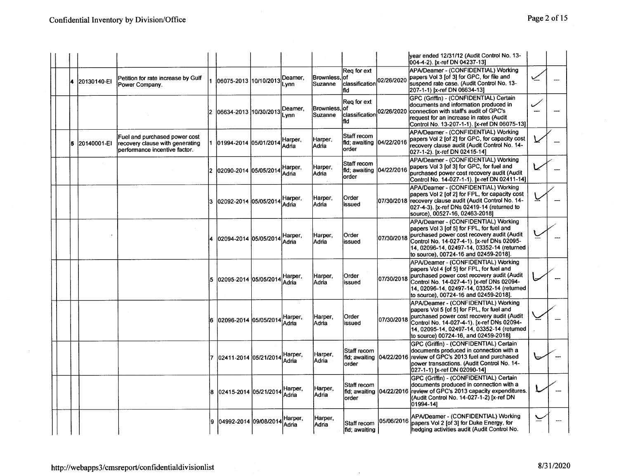|  |               |                                                                                                   |     |                                 |                  |                        |                                                    |            | lvear ended 12/31/12 (Audit Control No. 13-<br>004-4-2). [x-ref DN 04237-13]                                                                                                                                                                                         |   |  |
|--|---------------|---------------------------------------------------------------------------------------------------|-----|---------------------------------|------------------|------------------------|----------------------------------------------------|------------|----------------------------------------------------------------------------------------------------------------------------------------------------------------------------------------------------------------------------------------------------------------------|---|--|
|  | 4 20130140-EI | Petition for rate increase by Gulf<br>Power Company.                                              |     | 06075-2013  10/10/2013          | Deamer,<br>Lynn  | Brownless.<br>Suzanne  | Rea for ext<br>lof<br>classification<br>fid        | 02/26/2020 | APA/Deamer - (CONFIDENTIAL) Working<br>bapers Vol 3 [of 3] for GPC, for file and<br>suspend rate case. (Audit Control No. 13-<br>207-1-1) [x-ref DN 06634-13]                                                                                                        |   |  |
|  |               |                                                                                                   | 12. | 06634-2013  10/30/2013          | Deamer.<br>Lynn  | Brownless,<br>lSuzanne | Reg for ext<br>lof<br>classification<br>fid        | 02/26/2020 | GPC (Griffin) - (CONFIDENTIAL) Certain<br>documents and information produced in<br>connection with staff's audit of GPC's<br>Irequest for an increase in rates (Audit<br>Control No. 13-207-1-1). [x-ref DN 06075-13]                                                | ر |  |
|  | l20140001-EI  | Fuel and purchased power cost<br>recovery clause with generating<br>performance incentive factor. |     | 1 01994-2014 05/01/2014         | Harper,<br>Adria | Harper.<br>lAdria      | Staff recom<br>fld; awaiting   04/22/2016<br>order |            | APA/Deamer - (CONFIDENTIAL) Working<br>papers Vol 2 [of 2] for GPC, for capacity cost<br>recovery clause audit (Audit Control No. 14-<br>027-1-2). [x-ref DN 02415-14]                                                                                               |   |  |
|  |               |                                                                                                   |     | 2 02090-2014 05/05/2014         | Harper.<br>Adria | Harper,<br>Adria       | Staff recom<br>fld: awaiting 104/22/2016<br>lorder |            | APA/Deamer - (CONFIDENTIAL) Working<br>papers Vol 3 [of 3] for GPC, for fuel and<br>purchased power cost recovery audit (Audit<br>Control No. 14-027-1-1). [x-ref DN 02411-14]                                                                                       |   |  |
|  |               |                                                                                                   |     | 3 02092-2014 05/05/2014 Harper, | Adria            | Harper,<br>lAdria      | Order<br>issued                                    |            | APA/Deamer - (CONFIDENTIAL) Working<br>papers Vol 2 [of 2] for FPL, for capacity cost<br>07/30/2018 recovery clause audit (Audit Control No. 14-<br>027-4-3). [x-ref DNs 02419-14 (returned to<br>source), 00527-16, 02463-2018]                                     |   |  |
|  |               |                                                                                                   |     | 02094-2014 05/05/2014           | Harper,<br>Adria | Harper,<br> Adria      | lOrder<br>lissued                                  | 07/30/2018 | APA/Deamer - (CONFIDENTIAL) Working<br>lpapers Vol 3 [of 5] for FPL, for fuel and<br>purchased power cost recovery audit (Audit<br>Control No. 14-027-4-1). [x-ref DNs 02095-<br>14, 02096-14, 02497-14, 03352-14 (returned<br>to source), 00724-16 and 02459-2018]. |   |  |
|  |               |                                                                                                   | 5   | 02095-2014 05/05/2014           | Harper,<br>Adria | Harper,<br>Adria       | Order<br>issued                                    | 07/30/2018 | APA/Deamer - (CONFIDENTIAL) Working<br>papers Vol 4 [of 5] for FPL, for fuel and<br>purchased power cost recovery audit (Audit<br>Control No. 14-027-4-1) [x-ref DNs 02094-<br>14, 02096-14, 02497-14, 03352-14 (returned<br>to source), 00724-16 and 02459-2018].   |   |  |
|  |               |                                                                                                   |     | 02096-2014 05/05/2014           | Harper.<br>Adria | Harper.<br>Adria       | Order<br>issued                                    | 07/30/2018 | APA/Deamer - (CONFIDENTIAL) Working<br>papers Vol 5 (of 5) for FPL, for fuel and<br>purchased power cost recovery audit (Audit<br>Control No. 14-027-4-1). [x-ref DNs 02094-<br>14.02095-14.02497-14.03352-14 (returned<br>to source) 00724-16, and 02459-2018]      |   |  |
|  |               |                                                                                                   |     | 7 02411-2014 05/21/2014         | Harper,<br>Adria | Harper,<br>Adria       | Staff recom<br>order                               |            | GPC (Griffin) - (CONFIDENTIAL) Certain<br>documents produced in connection with a<br>fld; awaiting 04/22/2016 review of GPC's 2013 fuel and purchased<br>power transactions. (Audit Control No. 14-<br>027-1-1) [x-ref DN 02090-14]                                  |   |  |
|  |               |                                                                                                   |     | 02415-2014 05/21/2014           | Harper,<br>Adria | Harper,<br>Adria       | Staff recom<br>fld; awaiting 04/22/2016<br>lorder  |            | GPC (Griffin) - (CONFIDENTIAL) Certain<br>documents produced in connection with a<br>review of GPC's 2013 capacity expenditures.<br>(Audit Control No. 14-027-1-2) [x-ref DN<br>01994-141                                                                            |   |  |
|  |               |                                                                                                   | l9. | 04992-2014 09/08/2014           | Harper,<br>Adria | Harper,<br>Adria       | Staff recom<br>fid; awaiting                       | 05/06/2016 | APA/Deamer - (CONFIDENTIAL) Working<br>papers Vol 2 [of 3] for Duke Energy, for<br>hedging activities audit (Audit Control No.                                                                                                                                       |   |  |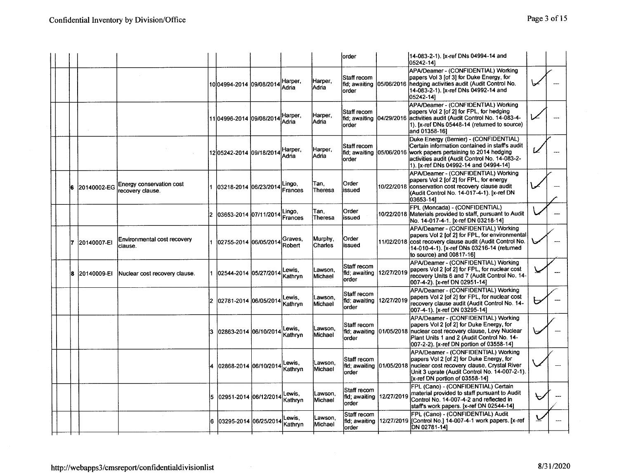|  |                 |                                              |                               |                          |                           | lorder                                             |            | 14-083-2-1). [x-ref DNs 04994-14 and<br>05242-141                                                                                                                                                                                                |   |  |
|--|-----------------|----------------------------------------------|-------------------------------|--------------------------|---------------------------|----------------------------------------------------|------------|--------------------------------------------------------------------------------------------------------------------------------------------------------------------------------------------------------------------------------------------------|---|--|
|  |                 |                                              | 10 04994-2014 09/08/2014      | Harper,<br>Adria         | Harper,<br> Adria         | Staff recom<br>fld; awaiting   05/06/2016<br>order |            | APA/Deamer - (CONFIDENTIAL) Working<br>papers Vol 3 [of 3] for Duke Energy, for<br>Inedaing activities audit (Audit Control No.<br>14-083-2-1). [x-ref DNs 04992-14 and<br>05242-141                                                             |   |  |
|  |                 |                                              | 11 04996-2014 09/08/2014      | Harper,<br>Adria         | Harper.<br>lAdria         | Staff recom<br>lorder                              |            | APA/Deamer - (CONFIDENTIAL) Working<br>papers Vol 2 [of 2] for FPL, for hedging<br>fid; awaiting  04/29/2016  activities audit (Audit Control No. 14-083-4-<br>1). [x-ref DNs 05448-14 (returned to source)<br>and 01358-161                     |   |  |
|  |                 |                                              | 12 05 24 2- 2014 09/18 / 2014 | -larper,<br>Adria        | Harper.<br> Adria         | Staff recom<br>fld: awaiting 105/06/2016<br>lorder |            | Duke Energy (Bernier) - (CONFIDENTIAL)<br>Certain information contained in staff's audit<br>work papers pertaining to 2014 hedging<br>activities audit (Audit Control No. 14-083-2-<br>1). [x-ref DNs 04992-14 and 04994-14]                     |   |  |
|  | 20140002-EG     | Energy conservation cost<br>recovery clause. | 03218-2014 06/23/2014         | Lingo,<br><b>Frances</b> | Tan.<br><b>Theresa</b>    | Order<br>issued                                    |            | APA/Deamer - (CONFIDENTIAL) Working<br>papers Vol 2 [of 2] for FPL, for energy<br>10/22/2018 conservation cost recovery clause audit<br>(Audit Control No. 14-017-4-1). [x-ref DN<br>03653-14]                                                   |   |  |
|  |                 |                                              | 2  03653-2014  07/11/2014     | Lingo,<br>Frances        | Tan.<br>Theresa           | Order<br>issued                                    |            | FPL (Moncada) - (CONFIDENTIAL)<br>10/22/2018 Materials provided to staff, pursuant to Audit<br>No. 14-017-4-1. [x-ref DN 03218-14]                                                                                                               |   |  |
|  | 17 120140007-EI | Environmental cost recovery<br>clause.       | 1 02755-2014 06/05/2014       | Graves.<br>Robert        | Murphy.<br><b>Charles</b> | Order<br>issued                                    |            | APA/Deamer - (CONFIDENTIAL) Working<br>papers Vol 2 [of 2] for FPL, for environmental<br>11/02/2018 lcost recovery clause audit (Audit Control No.<br>14-010-4-1). [x-ref DNs 03216-14 (returned<br>to source) and 00817-16]                     |   |  |
|  | 18 120140009-EI | Nuclear cost recovery clause.                | 1 02544-2014 05/27/2014       | Lewis.<br>Kathryn        | Lawson.<br>Michael        | Staff recom<br>fld; awaiting<br>order              | 12/27/2019 | APA/Deamer - (CONFIDENTIAL) Working<br>papers Vol 2 [of 2] for FPL, for nuclear cost<br>recovery Units 6 and 7 (Audit Control No. 14-<br>007-4-2). [x-ref DN 02951-14]                                                                           |   |  |
|  |                 |                                              | 2 02781-2014 06/05/2014       | Lewis.<br>Kathryn        | Lawson,<br>Michael        | Staff recom<br>fid: awaiting<br>order              | 12/27/2019 | APA/Deamer - (CONFIDENTIAL) Working<br>papers Vol 2 [of 2] for FPL, for nuclear cost<br>recovery clause audit (Audit Control No. 14-<br>007-4-1). [x-ref DN 03295-14]                                                                            | ヒ |  |
|  |                 |                                              | l02863-2014 l06/10/2014       | Lewis,<br>Kathryn        | Lawson,<br>Michael        | Staff recom<br>order                               |            | APA/Deamer - (CONFIDENTIAL) Working<br>papers Vol 2 [of 2] for Duke Energy, for<br>fld; awaiting 01/05/2018 nuclear cost recovery clause, Levy Nuclear<br>Plant Units 1 and 2 (Audit Control No. 14-<br>007-2-2). [x-ref DN portion of 03558-14] |   |  |
|  |                 |                                              | 4   02868-2014   06/10/2014   | Lewis.<br>Kathrvn        | _awson.<br><b>Michael</b> | Staff recom<br>order                               |            | APA/Deamer - (CONFIDENTIAL) Working<br>papers Vol 2 [of 2] for Duke Energy, for<br>fild; awaiting 01/05/2018 nuclear cost recovery clause, Crystal River<br>Unit 3 uprate (Audit Control No. 14-007-2-1).<br>[x-ref DN portion of 03558-14]      |   |  |
|  |                 |                                              | l5  02951-2014  06/12/2014    | Lewis.<br>Kathryn        | lLawson.<br>Michael       | Staff recom<br>fld: awaiting<br>order              | 12/27/2019 | FPL (Cano) - (CONFIDENTIAL) Certain<br>Imaterial provided to staff pursuant to Audit<br>Control No. 14-007-4-2 and reflected in<br>staff's work papers. [x-ref DN 02544-14]                                                                      |   |  |
|  |                 |                                              | 6 03295-2014 06/25/2014       | Lewis.<br>Kathryn        | Lawson.<br><b>Michael</b> | Staff recom<br>lorder                              |            | FPL (Cano) - (CONFIDENTIAL) Audit<br>fld; awaiting   12/27/2019   [Control No.] 14-007-4-1 work papers. [x-ref<br>DN 02781-141                                                                                                                   |   |  |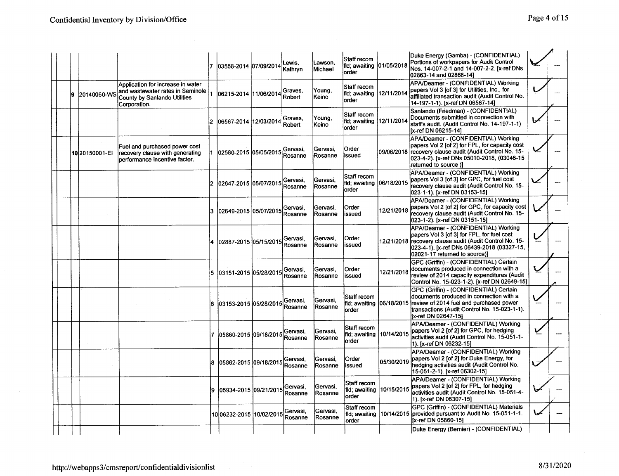|  |                 |                                                                                                                              |     | 03558-2014 07/09/2014         | ewis.<br>Kathryn    | Lawson,<br>Michael   | Staff recom<br>fid; awaiting 101/05/2018<br><b>order</b> |            | Duke Energy (Gamba) - (CONFIDENTIAL)<br>Portions of workpapers for Audit Control<br>Nos. 14-007-2-1 and 14-007-2-2. [x-ref DNs<br>02863-14 and 02868-141                                                                    |  |
|--|-----------------|------------------------------------------------------------------------------------------------------------------------------|-----|-------------------------------|---------------------|----------------------|----------------------------------------------------------|------------|-----------------------------------------------------------------------------------------------------------------------------------------------------------------------------------------------------------------------------|--|
|  | 20140060-WS     | Application for increase in water<br>and wastewater rates in Seminole<br><b>County by Sanlando Utilities</b><br>Corporation. |     | 06215-2014  11/06/2014        | Graves.<br>Robert   | Young,<br>lKeino.    | Staff recom<br>fld; awaiting<br>lorder                   | 12/11/2014 | APA/Deamer - (CONFIDENTIAL) Working<br>papers Vol 3 [of 3] for Utilities, Inc., for<br>affiliated transaction audit (Audit Control No.<br>14-197-1-1). [x-ref DN 06567-14]                                                  |  |
|  |                 |                                                                                                                              |     | 06567-2014 12/03/2014         | Graves.<br>Robert   | Young.<br>Keino      | Staff recom<br>fld; awaiting<br>order                    | 12/11/201  | Sanlando (Friedman) - (CONFIDENTIAL)<br>Documents submitted in connection with<br>staff's audit. (Audit Control No. 14-197-1-1)<br>Ix-ref DN 06215-141                                                                      |  |
|  | 10 2015 0001-EI | Fuel and purchased power cost<br>recovery clause with generating<br>performance incentive factor.                            |     | 02580-2015 05/05/2015         | Gervasi,<br>Rosanne | Gervasi,<br>Rosanne  | Order<br>issued                                          |            | APA/Deamer - (CONFIDENTIAL) Working<br>papers Vol 2 [of 2] for FPL, for capacity cost<br>09/06/2018 recovery clause audit (Audit Control No. 15-<br>023-4-2). [x-ref DNs 05010-2018, (03046-15<br>returned to source)]      |  |
|  |                 |                                                                                                                              |     | 2  02647-2015  05/07/2015     | Gervasi.<br>Rosanne | Gervasi,<br>Rosanne  | Staff recom<br>fld; awaiting 06/18/2015<br>order         |            | APA/Deamer - (CONFIDENTIAL) Working<br>papers Vol 3 [of 3] for GPC, for fuel cost<br>recovery clause audit (Audit Control No. 15-<br>023-1-1). [x-ref DN 03153-15]                                                          |  |
|  |                 |                                                                                                                              | 13. | 102649-2015 105/07/2015       | Gervasi.<br>Rosanne | Gervasi.<br>lRosanne | Order<br>issued                                          |            | APA/Deamer - (CONFIDENTIAL) Working<br>12/21/2018 papers Vol 2 [of 2] for GPC, for capacity cost<br>recovery clause audit (Audit Control No. 15-<br>023-1-2). [x-ref DN 03151-15]                                           |  |
|  |                 |                                                                                                                              |     | 02887-2015 05/15/2015 Rosanne |                     | lGervasi.<br>Rosanne | Order<br>lissued                                         |            | APA/Deamer - (CONFIDENTIAL) Working<br>papers Vol 3 [of 3] for FPL, for fuel cost<br>12/21/2018 recovery clause audit (Audit Control No. 15-<br>023-4-1). [x-ref DNs 06439-2018 (03327-15,<br>02021-17 returned to source)] |  |
|  |                 |                                                                                                                              |     | 5   03151-2015   05/28/2015   | Gervasi.<br>Rosanne | lGervasi.<br>Rosanne | Order<br>lissued                                         | 12/21/2018 | GPC (Griffin) - (CONFIDENTIAL) Certain<br>documents produced in connection with a<br>review of 2014 capacity expenditures (Audit<br>Control No. 15-023-1-2). [x-ref DN 02649-15]                                            |  |
|  |                 |                                                                                                                              |     | 6   03153-2015   05/28/2015   | Gervasi.<br>Rosanne | Gervasi.<br>Rosanne  | Staff recom<br>fld; awaiting<br>order                    |            | GPC (Griffin) - (CONFIDENTIAL) Certain<br>documents produced in connection with a<br>06/18/2015 review of 2014 fuel and purchased power<br>transactions (Audit Control No. 15-023-1-1).<br>Ix-ref DN 02647-151              |  |
|  |                 |                                                                                                                              |     | 05860-2015 09/18/2015         | Gervasi.<br>Rosanne | Gervasi.<br>Rosanne  | Staff recom<br>fld; awaiting<br>order                    | 10/14/2015 | APA/Deamer - (CONFIDENTIAL) Working<br>papers Vol 2 [of 2] for GPC, for hedging<br>activities audit (Audit Control No. 15-051-1-<br>1). [x-ref DN 06232-15]                                                                 |  |
|  |                 |                                                                                                                              |     | 05862-2015 09/18/2015         | Gervasi,<br>Rosanne | Gervasi,<br>Rosanne  | Order<br>issued                                          | 05/30/2019 | APA/Deamer - (CONFIDENTIAL) Working<br>bapers Vol 2 [of 2] for Duke Energy, for<br>hedging activities audit (Audit Control No.<br>15-051-2-1). [x-ref 06302-15]                                                             |  |
|  |                 |                                                                                                                              | I9. | 05934-2015 09/21/2015         | Gervasi.<br>Rosanne | Gervasi,<br>Rosanne  | Staff recom<br>fid; awaiting<br>lorder                   | 10/15/2015 | APA/Deamer - (CONFIDENTIAL) Working<br>papers Vol 2 [of 2] for FPL, for hedging<br>activities audit (Audit Control No. 15-051-4-<br>1). [x-ref DN 06307-15]                                                                 |  |
|  |                 |                                                                                                                              |     | 10 06232-2015 10 / 02 / 2015  | Gervasi,<br>Rosanne | Gervasi,<br>Rosanne  | Staff recom<br>fld: awaiting<br>order                    |            | GPC (Griffin) - (CONFIDENTIAL) Materials<br>10/14/2015 provided pursuant to Audit No. 15-051-1-1.<br>[x-ref DN 05860-15]                                                                                                    |  |
|  |                 |                                                                                                                              |     |                               |                     |                      |                                                          |            | Duke Energy (Bernier) - (CONFIDENTIAL)                                                                                                                                                                                      |  |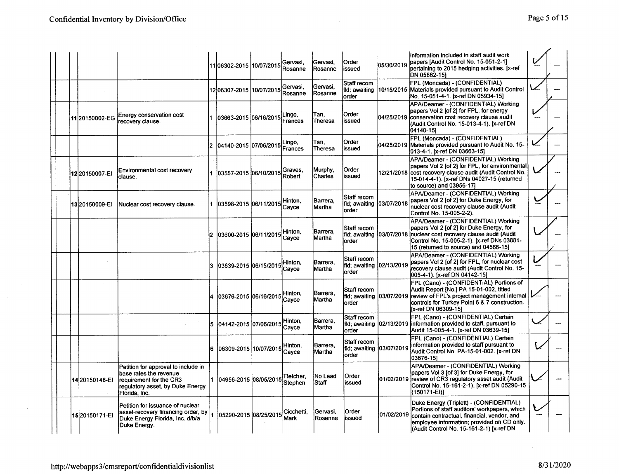|  |                    |                                                                                                                                               | 11 06302-2015 10/07/2015        | Gervasi.<br>Rosanne  | lGervasi.<br>lRosanne      | Order<br>issued                                      | 05/30/2019 | Information included in staff audit work<br>papers [Audit Control No. 15-051-2-1]<br>pertaining to 2015 hedging activities. [x-ref<br>DN 05862-151                                                                                             |  |
|--|--------------------|-----------------------------------------------------------------------------------------------------------------------------------------------|---------------------------------|----------------------|----------------------------|------------------------------------------------------|------------|------------------------------------------------------------------------------------------------------------------------------------------------------------------------------------------------------------------------------------------------|--|
|  |                    |                                                                                                                                               | 12 06307-2015 10/07/2015        | Gervasi.<br>Rosanne  | Gervasi.<br><b>Rosanne</b> | Staff recom<br>fid: awaiting<br>order                |            | FPL (Moncada) - (CONFIDENTIAL)<br>10/15/2015 Materials provided pursuant to Audit Control<br>No. 15-051-4-1. [x-ref DN 05934-15]                                                                                                               |  |
|  | 11 20150002-EG     | Energy conservation cost<br>recovery clause.                                                                                                  | 03663-2015 06/16/2015           | Lingo,<br>Frances    | Tan.<br>Theresa            | Order<br>issued                                      |            | APA/Deamer - (CONFIDENTIAL) Working<br>bapers Vol 2 [of 2] for FPL, for energy<br>04/25/2019 conservation cost recovery clause audit<br>KAudit Control No. 15-013-4-1). [x-ref DN<br>04140-151                                                 |  |
|  |                    |                                                                                                                                               | 2  04140-2015  07/06/2015       | .ingo,<br>Frances    | Tan,<br>Theresa            | Order<br>issued                                      |            | FPL (Moncada) - (CONFIDENTIAL)<br>04/25/2019 Materials provided pursuant to Audit No. 15-<br>013-4-1. [x-ref DN 03663-15]                                                                                                                      |  |
|  | 12 2015 0007-EI    | Environmental cost recovery<br>clause.                                                                                                        | 1  03557-2015  06/10/2015       | Graves.<br>Robert    | Murphy.<br>Charles         | Order<br>issued                                      |            | APA/Deamer - (CONFIDENTIAL) Working<br>papers Vol 2 [of 2] for FPL, for environmental<br>12/21/2018 cost recovery clause audit (Audit Control No.<br>15-014-4-1). [x-ref DNs 04027-15 (returned<br>to source) and 03956-171                    |  |
|  | 13 2015 0009-EI    | Nuclear cost recovery clause.                                                                                                                 | 103598-2015 06/11/2015          | Hinton.<br>Cavce     | Barrera.<br> Martha        | Staff recom<br>fid: awaiting<br>order                | 03/07/2018 | APA/Deamer - (CONFIDENTIAL) Working<br>papers Vol 2 [of 2] for Duke Energy, for<br>nuclear cost recovery clause audit (Audit<br>Control No. 15-005-2-2).                                                                                       |  |
|  |                    |                                                                                                                                               | 03600-2015 06/11/2015           | Hinton,<br>Cayce     | lBarrera.<br><b>Martha</b> | Staff recom<br>order                                 |            | APA/Deamer - (CONFIDENTIAL) Working<br>papers Vol 2 [of 2] for Duke Energy, for<br>fid: awaiting 103/07/2018 Inuclear cost recovery clause audit (Audit<br>Control No. 15-005-2-1). [x-ref DNs 03881-<br>15 (returned to source) and 04566-15] |  |
|  |                    |                                                                                                                                               | 3 03639-2015 06/15/2015         | Hinton.<br>Cayce     | Barrera.<br>Martha         | Staff recom<br>fld; awaiting 02/13/2019<br>order     |            | APA/Deamer - (CONFIDENTIAL) Working<br>papers Vol 2 [of 2] for FPL, for nuclear cost<br>recovery clause audit (Audit Control No. 15-<br>005-4-1). [x-ref DN 04142-15]                                                                          |  |
|  |                    |                                                                                                                                               | 4 03676-2015 06/16/2015 Hinton, | Cavce                | Barrera,<br>Martha         | Staff recom<br>lorder                                |            | FPL (Cano) - (CONFIDENTIAL) Portions of<br>Audit Report [No.] PA 15-01-002, titled<br>fld; awaiting  03/07/2019  review of FPL's project management internal<br>controls for Turkey Point 6 & 7 construction.<br>Ix-ref DN 06309-151           |  |
|  |                    |                                                                                                                                               | 5  04142-2015  07/06/2015       | Hinton,<br>Cavce     | lBarrera.<br><b>Martha</b> | lStaff recom<br>fild; awaiting 02/13/2019<br>lorder  |            | FPL (Cano) - (CONFIDENTIAL) Certain<br>information provided to staff, pursuant to<br>Audit 15-005-4-1. [x-ref DN 03639-15]                                                                                                                     |  |
|  |                    |                                                                                                                                               | 06309-2015 10/07/2015           | lHinton.<br>Cavce    | Barrera.<br>Martha         | Staff recom<br>fild; awaiting (03/07/2019)<br>lorder |            | FPL (Cano) - (CONFIDENTIAL) Certain<br>information provided to staff pursuant to<br>Audit Control No. PA-15-01-002. [x-ref DN<br> 03676-151                                                                                                    |  |
|  | 14 2015 0148-EI    | Petition for approval to include in<br>base rates the revenue<br>requirement for the CR3<br>regulatory asset, by Duke Energy<br>Florida, Inc. | 104956-2015 08/05/2015          | Fletcher.<br>Stephen | No Lead<br><b>Staff</b>    | Order<br>issued                                      | 01/02/2019 | APA/Deamer - (CONFIDENTIAL) Working<br>papers Vol 3 [of 3] for Duke Energy, for<br>review of CR3 regulatory asset audit (Audit<br>Control No. 15-161-2-1). [x-ref DN 05290-15<br>(150171-EI)]                                                  |  |
|  | 15 2015 01 71 - EI | Petition for issuance of nuclear<br>asset-recovery financing order, by<br>Duke Energy Florida, Inc. d/b/a<br>Duke Energy.                     | 05290-2015 08/25/2015           | Cicchetti,<br>Mark   | Gervasi,<br>Rosanne        | Order<br>issued                                      | 01/02/2019 | Duke Energy (Triplett) - (CONFIDENTIAL)<br>Portions of staff auditors' workpapers, which<br>contain contractual, financial, vendor, and<br>emplovee information; provided on CD only.<br>(Audit Control No. 15-161-2-1) [x-ref DN              |  |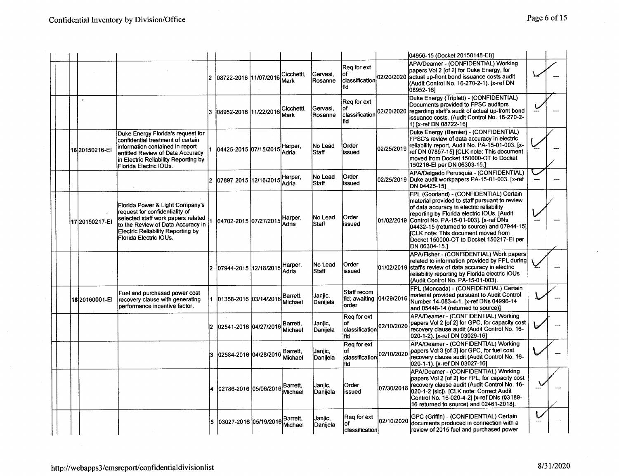|  |                 |                                                                                                                                                                                                                    |     |                             |                            |                      |                                                  |            | 04956-15 (Docket 20150148-El)]                                                                                                                                                                                                                                                                                                                                                            |  |
|--|-----------------|--------------------------------------------------------------------------------------------------------------------------------------------------------------------------------------------------------------------|-----|-----------------------------|----------------------------|----------------------|--------------------------------------------------|------------|-------------------------------------------------------------------------------------------------------------------------------------------------------------------------------------------------------------------------------------------------------------------------------------------------------------------------------------------------------------------------------------------|--|
|  |                 |                                                                                                                                                                                                                    | 12  |                             | Cicchetti.<br>Mark         | lGervasi.<br>Rosanne | Reg for ext<br>lof<br>classification<br>Ifid     | 02/20/2020 | APA/Deamer - (CONFIDENTIAL) Working<br>papers Vol 2 [of 2] for Duke Energy, for<br>actual up-front bond issuance costs audit<br>(Audit Control No. 16-270-2-1). [x-ref DN<br>08952-161                                                                                                                                                                                                    |  |
|  |                 |                                                                                                                                                                                                                    | 3   | 08952-2016 11/22/2016       | Cicchetti,<br>Mark         | Gervasi,<br>Rosanne  | Reg for ext<br>lof<br>classification<br>lfid I   | 02/20/2020 | Duke Energy (Triplett) - (CONFIDENTIAL)<br>Documents provided to FPSC auditors<br>regarding staff's audit of actual up-front bond<br>issuance costs. (Audit Control No. 16-270-2-<br>1) [x-ref DN 08722-16]                                                                                                                                                                               |  |
|  | 16 2015 0216-EI | Duke Energy Florida's request for<br>confidential treatment of certain<br>information contained in report<br>entitled Review of Data Accuracy<br>in Electric Reliability Reporting by<br>Florida Electric IOUs.    |     | 04425-2015 07/15/2015 Adria | Harper.                    | No Lead<br>Staff     | Order<br>issued                                  | 02/25/2019 | Duke Energy (Bernier) - (CONFIDENTIAL)<br>FPSC's review of data accuracy in electric<br>reliability report, Audit No. PA-15-01-003. [x-<br>ref DN 07897-15] [CLK note: This document<br>moved from Docket 150000-OT to Docket<br>150216-EI per DN 06303-15.]                                                                                                                              |  |
|  |                 |                                                                                                                                                                                                                    |     | 2  07897-2015  12/16/2015   | Harper.<br>lAdria          | No Lead<br>Staff     | Order<br>issued                                  |            | APA/Delgado Perusquia - (CONFIDENTIAL)<br>02/25/2019 Duke audit workpapers PA-15-01-003. [x-ref<br>DN 04425-151                                                                                                                                                                                                                                                                           |  |
|  | 1720150217-EI   | Florida Power & Light Company's<br>request for confidentiality of<br>selected staff work papers related<br>to the Review of Data Accuracy in<br><b>Electric Reliability Reporting by</b><br>Florida Electric IOUs. |     | 04702-2015 07/27/2015       | Harper,<br>Adria           | No Lead<br>İStaff    | Order<br>issued                                  |            | FPL (Goorland) - (CONFIDENTIAL) Certain<br>material provided to staff pursuant to review<br>of data accuracy in electric reliability<br>reporting by Florida electric IOUs. [Audit<br>01/02/2019 Control No. PA-15-01-003]. [x-ref DNs<br>04432-15 (returned to source) and 07944-15]<br>ICLK note: This document moved from<br>Docket 150000-OT to Docket 150217-EI per<br>DN 06304-15.1 |  |
|  |                 |                                                                                                                                                                                                                    |     | 07944-2015 12/18/2015       | Harper.<br>Adria           | No Lead<br>lStaff    | Order<br>issued                                  |            | APA/Fisher - (CONFIDENTIAL) Work papers<br>related to information provided by FPL during<br>01/02/2019 staffs review of data accuracy in electric<br>reliability reporting by Florida electric IOUs<br>(Audit Control No. PA-15-01-003).                                                                                                                                                  |  |
|  | 18 20160001-EI  | Fuel and purchased power cost<br>recovery clause with generating<br>performance incentive factor.                                                                                                                  |     | 1 101358-2016 103/14/2016   | Barrett,<br>Michael        | Janjic,<br>Danijela  | Staff recom<br>fld; awaiting 04/29/2016<br>order |            | FPL (Moncada) - (CONFIDENTIAL) Certain<br>material provided pursuant to Audit Control<br>Number 14-083-4-1. [x-ref DNs 04996-14<br>and 05448-14 (returned to source)]                                                                                                                                                                                                                     |  |
|  |                 |                                                                                                                                                                                                                    |     |                             | Barrett,<br>Michael        | Janjic,<br>Daniiela  | Reg for ext<br>Ωf<br>classification<br>fid       | 02/10/2020 | APA/Deamer - (CONFIDENTIAL) Working<br>papers Vol 2 [of 2] for GPC, for capacity cost<br>recovery clause audit (Audit Control No. 16-<br>020-1-2). [x-ref DN 03029-16]                                                                                                                                                                                                                    |  |
|  |                 |                                                                                                                                                                                                                    |     | 3   02584-2016   04/28/2016 | <b>Barrett.</b><br>Michael | Janjic,<br>Danijela  | Reg for ext<br>classification 02/10/2020<br>lfid |            | APA/Deamer - (CONFIDENTIAL) Working<br>papers Vol 3 [of 3] for GPC, for fuel cost<br>recovery clause audit (Audit Control No. 16-<br>020-1-1). [x-ref DN 03027-16]                                                                                                                                                                                                                        |  |
|  |                 |                                                                                                                                                                                                                    |     | 4 102786-2016 105/06/2016   | Barrett,<br>Michael        | Janjic,<br>lDaniiela | <b>Order</b><br>lissued                          | 07/30/2018 | APA/Deamer - (CONFIDENTIAL) Working<br>papers Vol 2 [of 2] for FPL, for capacity cost<br>recovery clause audit (Audit Control No. 16-<br>020-1-2 [sic]), [CLK note: Correct Audit<br>Control No. 16-020-4-21 [x-ref DNs (03189-<br>16 returned to source) and 02461-2018].                                                                                                                |  |
|  |                 |                                                                                                                                                                                                                    | 15. | l03027-2016 l05/19/2016l    | Barrett.<br>Michael        | Janjic,<br>Danijela  | Reg for ext<br>of<br>classification              | 02/10/2020 | GPC (Griffin) - (CONFIDENTIAL) Certain<br>documents produced in connection with a<br>review of 2015 fuel and purchased power                                                                                                                                                                                                                                                              |  |

 $\sim$   $\sim$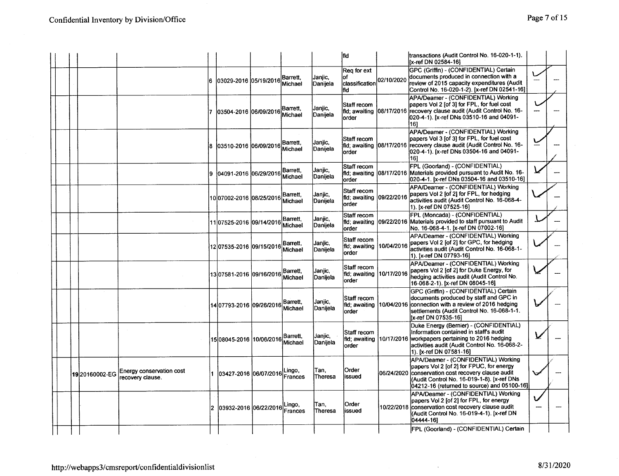|  |               |                                              |     |                             |                      |                            | fid                                              |            | transactions (Audit Control No. 16-020-1-1).<br>[x-ref DN 02584-16]                                                                                                                                                                |  |
|--|---------------|----------------------------------------------|-----|-----------------------------|----------------------|----------------------------|--------------------------------------------------|------------|------------------------------------------------------------------------------------------------------------------------------------------------------------------------------------------------------------------------------------|--|
|  |               |                                              |     | 6   03029-2016   05/19/2016 | Barrett,<br>Michael  | Janjic,<br>Danijela        | Rea for ext<br>оf<br>classification<br>fid       | 02/10/2020 | GPC (Griffin) - (CONFIDENTIAL) Certain<br>documents produced in connection with a<br>review of 2015 capacity expenditures (Audit<br>Control No. 16-020-1-2). [x-ref DN 02541-16]                                                   |  |
|  |               |                                              | 17. | 03504-2016 06/09/2016       | Barrett.<br>Michael  | Janjic,<br> Danijela       | Staff recom<br>order                             |            | APA/Deamer - (CONFIDENTIAL) Working<br>papers Vol 2 [of 3] for FPL, for fuel cost<br>fid; awaiting 08/17/2016 recovery clause audit (Audit Control No. 16-<br>020-4-1). [x-ref DNs 03510-16 and 04091-<br>161                      |  |
|  |               |                                              |     |                             | Barrett.<br>Michael  | Janjic,<br>Danijela        | Staff recom<br>order                             |            | APA/Deamer - (CONFIDENTIAL) Working<br>papers Vol 3 [of 3] for FPL, for fuel cost<br>fld, awaiting 08/17/2016 recovery clause audit (Audit Control No. 16-<br>020-4-1). [x-ref DNs 03504-16 and 04091-<br>161                      |  |
|  |               |                                              |     | 04091-2016 06/29/2016       | Barrett.<br>Michael  | Janjic,<br>Danijela        | Staff recom<br>order                             |            | FPL (Goorland) - (CONFIDENTIAL)<br>fild; awaiting 08/17/2016 Materials provided pursuant to Audit No. 16-<br>020-4-1. [x-ref DNs 03504-16 and 03510-16]                                                                            |  |
|  |               |                                              |     | 1007002-2016 08/25/2016     | Barrett,<br>Michael  | Janjic,<br>Danijela        | Staff recom<br>fid; awaiting<br>lorder           | 09/22/2016 | APA/Deamer - (CONFIDENTIAL) Working<br>papers Vol 2 [of 2] for FPL, for hedging<br>activities audit (Audit Control No. 16-068-4-<br>1). [x-ref DN 07525-16]                                                                        |  |
|  |               |                                              |     | 11 07525-2016 09/14/2016    | Barrett.<br>Michael  | Janjic,<br> Danijela       | Staff recom<br>order                             |            | FPL (Moncada) - (CONFIDENTIAL)<br>fild; awaiting 09/22/2016 Materials provided to staff pursuant to Audit<br>No. 16-068-4-1. [x-ref DN 07002-16]                                                                                   |  |
|  |               |                                              |     | 12 07535-2016 09/15/2016    | Barrett.<br>Michael  | Janjic.<br>Danijela        | Staff recom<br>fld: awaiting<br>order            |            | APA/Deamer - (CONFIDENTIAL) Working<br>10/04/2016 papers Vol 2 [of 2] for GPC, for hedging<br>activities audit (Audit Control No. 16-068-1-<br>1). [x-ref DN 07793-16]                                                             |  |
|  |               |                                              |     | 13 07581-2016 09/16/2016    | Barrett.<br>Michael  | Janjic,<br>Danijela        | Staff recom<br>fld; awaiting 10/17/2016<br>order |            | APA/Deamer - (CONFIDENTIAL) Working<br>papers Vol 2 [of 2] for Duke Energy, for<br>hedging activities audit (Audit Control No.<br>16-068-2-1). [x-ref DN 08045-16]                                                                 |  |
|  |               |                                              |     | 14 07793-2016 09/26/2016    | Barrett.<br>Michael  | Janjic,<br><b>Daniiela</b> | Staff recom<br>order                             |            | GPC (Griffin) - (CONFIDENTIAL) Certain<br>documents produced by staff and GPC in<br>fid; awaiting 10/04/2016 connection with a review of 2016 hedging<br>settlements (Audit Control No. 16-068-1-1.<br>[x-ref DN 07535-16]         |  |
|  |               |                                              |     | 15 08045-2016 10/06/2016    | lBarrett.<br>Michael | Janjic.<br>Danijela        | <b>Staff recom</b><br>fid: awaiting<br>lorder    |            | Duke Energy (Bernier) - (CONFIDENTIAL)<br>Information contained in staff's audit<br>10/17/2016 workpapers pertaining to 2016 hedging<br>activities audit (Audit Control No. 16-068-2-<br>1). [x-ref DN 07581-16]                   |  |
|  | 1920160002-EG | Energy conservation cost<br>recovery clause. |     |                             | Lingo,<br>Frances    | Tan,<br><b>Theresa</b>     | Order<br>issued                                  |            | APA/Deamer - (CONFIDENTIAL) Working<br>papers Vol 2 [of 2] for FPUC, for energy<br>06/24/2020 conservation cost recovery clause audit<br>(Audit Control No. 16-019-1-8). [x-ref DNs<br>04212-16 (returned to source) and 05100-16] |  |
|  |               |                                              | 2   | 03932-2016 06/22/2016       | Lingo,<br>Frances    | Tan.<br>Theresa            | Order<br>issued                                  |            | APA/Deamer - (CONFIDENTIAL) Working<br>papers Vol 2 [of 2] for FPL, for energy<br>10/22/2018 conservation cost recovery clause audit<br>(Audit Control No. 16-019-4-1). [x-ref DN<br>04444-161                                     |  |
|  |               |                                              |     |                             |                      |                            |                                                  |            | FPL (Goorland) - (CONFIDENTIAL) Certain                                                                                                                                                                                            |  |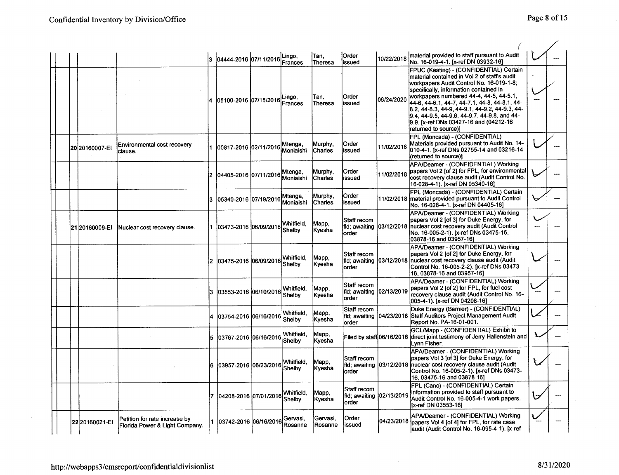$\mathcal{L}_{\mathbf{a}}$ 

 $\bar{z}$ 

|  |                |                                                                 |     | 3 04444-2016 07/11/2016 Lingo, | Frances              | lTan.<br>Theresa          | <b>Order</b><br>issued                           | 10/22/2018 | material provided to staff pursuant to Audit<br>No. 16-019-4-1. [x-ref DN 03932-16]                                                                                                                                                                                                                                                                                                                                                             |  |
|--|----------------|-----------------------------------------------------------------|-----|--------------------------------|----------------------|---------------------------|--------------------------------------------------|------------|-------------------------------------------------------------------------------------------------------------------------------------------------------------------------------------------------------------------------------------------------------------------------------------------------------------------------------------------------------------------------------------------------------------------------------------------------|--|
|  |                |                                                                 |     | 05100-2016 07/15/2016          | Lingo,<br>Frances    | Tan,<br>Theresa           | Order<br>issued                                  | 06/24/2020 | FPUC (Keating) - (CONFIDENTIAL) Certain<br>lmaterial contained in Vol 2 of staff's audit<br>workpapers Audit Control No. 16-019-1-8;<br>specifically, information contained in<br>lworkpapers numbered 44-4, 44-5, 44-5.1,<br>44-6, 44-6.1, 44-7, 44-7.1, 44-8, 44-8.1, 44-<br>8.2, 44-8.3, 44-9, 44-9.1, 44-9.2, 44-9.3, 44-<br>9.4, 44-9.5, 44-9.6, 44-9.7, 44-9.8, and 44-<br>9.9. [x-ref DNs 03427-16 and (04212-16<br>returned to source)] |  |
|  | 20 20160007-EI | Environmental cost recovery<br>clause.                          |     | 100817-2016 102/11/2016        | Mtenga,<br>Moniaishi | Murphy,<br>Charles        | Order<br>issued                                  | 11/02/2018 | FPL (Moncada) - (CONFIDENTIAL)<br>Materials provided pursuant to Audit No. 14-<br>010-4-1. [x-ref DNs 02755-14 and 03216-14<br>(returned to source)]                                                                                                                                                                                                                                                                                            |  |
|  |                |                                                                 |     | 2  04405-2016  07/11/2016      | Mtenga,<br>Moniaishi | Murphy,<br>Charles        | Order<br>issued                                  | 11/02/2018 | APA/Deamer - (CONFIDENTIAL) Working<br>papers Vol 2 [of 2] for FPL, for environmental<br>lcost recovery clause audit (Audit Control No.<br>16-028-4-1). [x-ref DN 05340-16]                                                                                                                                                                                                                                                                     |  |
|  |                |                                                                 | l3. | l05340-2016 l07/19/2016        | Mtenga,<br>Moniaishi | Murphy,<br><b>Charles</b> | Order<br>issued                                  |            | FPL (Moncada) - (CONFIDENTIAL) Certain<br>11/02/2018 material provided pursuant to Audit Control<br>No. 16-028-4-1. [x-ref DN 04405-16]                                                                                                                                                                                                                                                                                                         |  |
|  | 2120160009-EI  | Nuclear cost recovery clause.                                   |     | 1 103473-2016 106/09/2016      | Whitfield.<br>Shelby | Mapp,<br> Kyesha          | Staff recom<br>fld; awaiting 03/12/2018<br>order |            | APA/Deamer - (CONFIDENTIAL) Working<br>lpapers Vol 2 [of 3] for Duke Energy, for<br>Inuclear cost recovery audit (Audit Control<br>INo. 16-005-2-1). [x-ref DNs 03475-16,<br>03878-16 and 03957-161                                                                                                                                                                                                                                             |  |
|  |                |                                                                 |     | 2   03475-2016   06/09/2016    | Whitfield.<br>Shelby | Mapp.<br> Kyesha          | Staff recom<br>order                             |            | APA/Deamer - (CONFIDENTIAL) Working<br>papers Vol 2 [of 2] for Duke Energy, for<br>fld; awaiting 103/12/2018  nuclear cost recovery clause audit (Audit<br>Control No. 16-005-2-2). [x-ref DNs 03473-<br>16, 03878-16 and 03957-16]                                                                                                                                                                                                             |  |
|  |                |                                                                 | 13. | 03553-2016 06/10/2016          | Whitfield.<br>Shelby | Mapp,<br> Kvesha          | Staff recom<br>fld: awaiting 02/13/2019<br>order |            | APA/Deamer - (CONFIDENTIAL) Working<br>papers Vol 2 [of 2] for FPL, for fuel cost<br>recovery clause audit (Audit Control No. 16-<br>005-4-1). [x-ref DN 04208-16]                                                                                                                                                                                                                                                                              |  |
|  |                |                                                                 |     | l03754-2016 l06/16/2016l       | Whitfield,<br>Shelby | Mapp,<br> Kyesha          | Staff recom<br>order                             |            | Duke Energy (Bernier) - (CONFIDENTIAL)<br>fild; awaiting  04/23/2018 Staff Auditors Project Management Audit<br>Report No. PA-16-01-001.                                                                                                                                                                                                                                                                                                        |  |
|  |                |                                                                 | 15. | 03767-2016 06/16/2016          | Whitfield,<br>Shelbv | Mapp,<br>Kyesha           |                                                  |            | GCL/Mapp - (CONFIDENTIAL) Exhibit to<br>Filed by staff <sup>1</sup> 06/16/2016 direct joint testimony of Jerry Hallenstein and<br>Lynn Fisher.                                                                                                                                                                                                                                                                                                  |  |
|  |                |                                                                 | l6. | 03957-2016 06/23/2016          | Whitfield.<br>Shelby | Mapp.<br>Kvesha           | <b>IStaff recom</b><br>lorder                    |            | APA/Deamer - (CONFIDENTIAL) Working<br>papers Vol 3 [of 3] for Duke Energy, for<br>fild; awaiting 03/12/2018 nuclear cost recovery clause audit (Audit<br>Control No. 16-005-2-1). [x-ref DNs 03473-<br>16.03475-16 and 03878-161                                                                                                                                                                                                               |  |
|  |                |                                                                 |     | 04208-2016 07/01/2016          | Whitfield.<br>Shelbv | Mapp,<br>Kyesha           | Staff recom<br>fid; awaiting<br>order            | 02/13/2019 | FPL (Cano) - (CONFIDENTIAL) Certain<br>information provided to staff pursuant to<br>Audit Control No. 16-005-4-1 work papers.<br>[x-ref DN 03553-16]                                                                                                                                                                                                                                                                                            |  |
|  | 22 20160021-EI | Petition for rate increase by<br>Florida Power & Light Company. |     | 1 03742-2016 06/16/2016        | Gervasi,<br>Rosanne  | Gervasi,<br>Rosanne       | Order<br>lissued                                 |            | APA/Deamer - (CONFIDENTIAL) Working<br>04/23/2018 papers Vol 4 [of 4] for FPL, for rate case<br>audit (Audit Control No. 16-095-4-1). [x-ref                                                                                                                                                                                                                                                                                                    |  |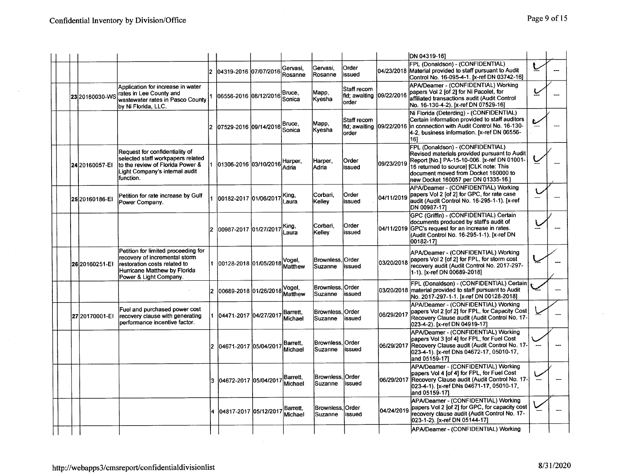|  |                 |                                                                                                                                                                |    |                           |                            |                              |                                       |            | DN 04319-161                                                                                                                                                                                                                                              |  |
|--|-----------------|----------------------------------------------------------------------------------------------------------------------------------------------------------------|----|---------------------------|----------------------------|------------------------------|---------------------------------------|------------|-----------------------------------------------------------------------------------------------------------------------------------------------------------------------------------------------------------------------------------------------------------|--|
|  |                 |                                                                                                                                                                | 12 | 04319-2016 07/07/2016     | Gervasi.<br>Rosanne        | Gervasi.<br>Rosanne          | Order<br>issued                       |            | FPL (Donaldson) - (CONFIDENTIAL)<br>04/23/2018 Material provided to staff pursuant to Audit<br>Control No. 16-095-4-1. [x-ref DN 03742-16]                                                                                                                |  |
|  | 23 20160030-WS  | Application for increase in water<br>rates in Lee County and<br>wastewater rates in Pasco County<br>by Ni Florida, LLC.                                        |    | 06556-2016  08/12/2016    | Bruce.<br><b>Sonica</b>    | Mapp,<br>Kvesha              | Staff recom<br>fld: awaiting<br>order | 09/22/2016 | APA/Deamer - (CONFIDENTIAL) Working<br>papers Vol 2 [of 2] for Ni Pacolet, for<br>affiliated transactions audit (Audit Control<br>No. 16-130-4-2). [x-ref DN 07529-16]                                                                                    |  |
|  |                 |                                                                                                                                                                |    | 07529-2016 09/14/2016     | Bruce,<br>Sonica           | Mapp,<br> Kyesha             | Staff recom<br>fld; awaiting<br>order | 09/22/2016 | Ni Florida (Deterding) - (CONFIDENTIAL)<br>Certain information provided to staff auditors<br>in connection with Audit Control No. 16-130-<br>4-2, business information. [x-ref DN 06556-<br>161                                                           |  |
|  | 24 20160057-EI  | Request for confidentiality of<br>selected staff workpapers related<br>to the review of Florida Power &<br>Light Company's intemal audit<br>function.          |    | 1 01306-2016 03/10/2016   | Harper.<br>Adria           | Harper,<br> Adria            | Order<br>issued                       | 09/23/2019 | FPL (Donaldson) - (CONFIDENTIAL)<br>Revised materials provided pursuant to Audit<br>Report [No.] PA-15-10-006. [x-ref DN 01001-<br>16 returned to source) [CLK note: This<br>document moved from Docket 160000 to<br>lnew Docket 160057 per DN 01335-16.] |  |
|  | 25 20160186-EI  | Petition for rate increase by Gulf<br>Power Company.                                                                                                           |    | 1  00182-2017  01/06/2017 | King,<br>Laura             | Corbari.<br>Kellev           | Order<br>issued                       | 04/11/2019 | APA/Deamer - (CONFIDENTIAL) Working<br>papers Vol 2 [of 2] for GPC, for rate case<br>laudit (Audit Control No. 16-295-1-1). [x-ref<br>DN 00987-171                                                                                                        |  |
|  |                 |                                                                                                                                                                |    | 00987-2017 01/27/2017     | King,<br>Laura             | Corbari,<br>Kelley           | Order<br>issued                       |            | GPC (Griffin) - (CONFIDENTIAL) Certain<br>documents produced by staff's audit of<br>04/11/2019 GPC's request for an increase in rates.<br>(Audit Control No. 16-295-1-1). [x-ref DN<br>00182-171                                                          |  |
|  | 26 2016 0251-EI | Petition for limited proceeding for<br>recovery of incremental storm<br>restoration costs related to<br>Hurricane Matthew by Florida<br>Power & Light Company. |    | 1 00128-2018 01/05/2018   | Vogel,<br>Matthew          | Brownless.<br><b>Suzanne</b> | <b>Order</b><br>issued                |            | APA/Deamer - (CONFIDENTIAL) Working<br>03/20/2018 papers Vol 2 [of 2] for FPL, for storm cost<br>recovery audit (Audit Control No. 2017-297-<br>1-1). [x-ref DN 00689-2018]                                                                               |  |
|  |                 |                                                                                                                                                                |    | 2  00689-2018  01/26/2018 | Vogel,<br>Matthew          | Brownless. Order<br>Suzanne  | lissued                               |            | FPL (Donaldson) - (CONFIDENTIAL) Certain<br>03/20/2018 material provided to staff pursuant to Audit<br>No. 2017-297-1-1. [x-ref DN 00128-2018]                                                                                                            |  |
|  | 27 20170001-EI  | Fuel and purchased power cost<br>recovery clause with generating<br>performance incentive factor.                                                              |    | 1 04471-2017 04/27/2017   | Barrett,<br>Michael        | Brownless, Order<br>Suzanne  | issued                                | 06/29/2017 | APA/Deamer - (CONFIDENTIAL) Working<br>papers Vol 2 [of 2] for FPL, for Capacity Cost<br>Recovery Clause audit (Audit Control No. 17-<br>023-4-2). [x-ref DN 04919-17]                                                                                    |  |
|  |                 |                                                                                                                                                                |    | 2 04671-2017 05/04/2017   | <b>Barrett,</b><br>Michael | Brownless, Order<br>Suzanne  | issued                                |            | APA/Deamer - (CONFIDENTIAL) Working<br>papers Vol 3 [of 4] for FPL, for Fuel Cost<br>06/29/2017 Recovery Clause audit (Audit Control No. 17-<br>023-4-1). [x-ref DNs 04672-17, 05010-17,<br>and 05159-17]                                                 |  |
|  |                 |                                                                                                                                                                | 3  | 04672-2017 05/04/2017     | Barrett.<br>Michael        | Brownless.<br>lSuzanne       | Order<br>issued                       |            | APA/Deamer - (CONFIDENTIAL) Working<br>papers Vol 4 [of 4] for FPL, for Fuel Cost<br>06/29/2017 Recovery Clause audit (Audit Control No. 17-<br>023-4-1). [x-ref DNs 04671-17, 05010-17,<br>and 05159-171                                                 |  |
|  |                 |                                                                                                                                                                |    | 04817-2017 05/12/2017     | Barrett.<br>Michael        | Brownless, Order<br>Suzanne  | lissued                               | 04/24/2019 | APA/Deamer - (CONFIDENTIAL) Working<br>papers Vol 2 [of 2] for GPC, for capacity cost<br>recovery clause audit (Audit Control No. 17-<br>023-1-2). [x-ref DN 05144-17]                                                                                    |  |
|  |                 |                                                                                                                                                                |    |                           |                            |                              |                                       |            | APA/Deamer - (CONFIDENTIAL) Working                                                                                                                                                                                                                       |  |

 $\sim$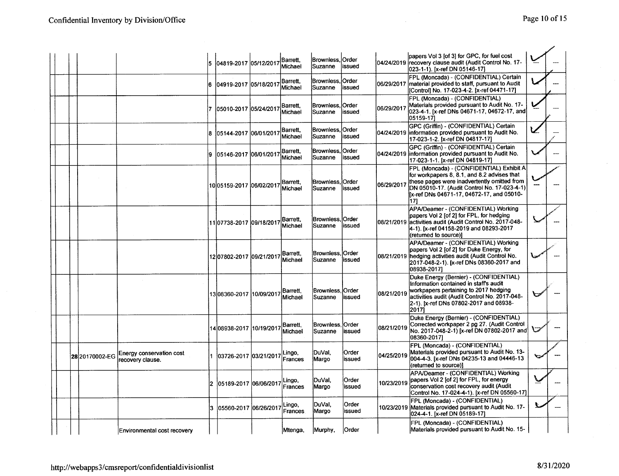|  |                |                                              | 15. | 04819-2017 05/12/2017     | Barrett.<br>Michael | Brownless,<br>Suzanne              | <b>Order</b><br>issued |            | papers Vol 3 [of 3] for GPC, for fuel cost<br>04/24/2019 recovery clause audit (Audit Control No. 17-<br>023-1-1). [x-ref DN 05146-17]                                                                                                    |  |
|--|----------------|----------------------------------------------|-----|---------------------------|---------------------|------------------------------------|------------------------|------------|-------------------------------------------------------------------------------------------------------------------------------------------------------------------------------------------------------------------------------------------|--|
|  |                |                                              | l6  | 04919-2017 05/18/2017     | Barrett,<br>Michael | Brownless,<br>Suzanne              | <b>Order</b><br>issued |            | FPL (Moncada) - (CONFIDENTIAL) Certain<br>06/29/2017  material provided to staff, pursuant to Audit<br>[Control] No. 17-023-4-2. [x-ref 04471-17]                                                                                         |  |
|  |                |                                              |     | 05010-2017 05/24/2017     | Barrett.<br>Michael | Brownless.<br>Suzanne              | Order<br>issued        | 06/29/2017 | FPL (Moncada) - (CONFIDENTIAL)<br>Materials provided pursuant to Audit No. 17-<br>023-4-1. [x-ref DNs 04671-17, 04672-17, and]<br>05159-17]                                                                                               |  |
|  |                |                                              | 18  | 05144-2017  06/01/2017    | Barrett.<br>Michael | Brownless,<br>Suzanne              | <b>Order</b><br>issued |            | GPC (Griffin) - (CONFIDENTIAL) Certain<br>04/24/2019 information provided pursuant to Audit No.<br>17-023-1-2. [x-ref DN 04817-17]                                                                                                        |  |
|  |                |                                              | 9   | 05146-2017 06/01/2017     | Barrett,<br>Michael | Brownless, Order<br>Suzanne        | issued                 |            | GPC (Griffin) - (CONFIDENTIAL) Certain<br>04/24/2019 information provided pursuant to Audit No.<br>17-023-1-1. [x-ref DN 04819-17]                                                                                                        |  |
|  |                |                                              |     | 1005159-2017 06/02/2017   | Barrett,<br>Michael | Brownless.<br><b>Suzanne</b>       | <b>Order</b><br>issued | 06/29/2017 | FPL (Moncada) - (CONFIDENTIAL) Exhibit A<br>for workpapers 8, 8.1, and 8.2 advises that<br>these pages were inadvertently omitted from<br>DN 05010-17. (Audit Control No. 17-023-4-1)<br>[x-ref DNs 04671-17, 04672-17, and 05010-<br>171 |  |
|  |                |                                              |     | 11 07738-2017 09/18/2017  | Barrett.<br>Michael | Brownless, Order<br>Suzanne        | lissued                | 08/21/2019 | APA/Deamer - (CONFIDENTIAL) Working<br>papers Vol 2 [of 2] for FPL, for hedging<br>activities audit (Audit Control No. 2017-048-<br>4-1). [x-ref 04158-2019 and 08293-2017<br>(returned to source)]                                       |  |
|  |                |                                              |     | 12 07802-2017  09/21/2017 | Barrett,<br>Michael | Brownless. Order<br>Suzanne        | issued                 |            | APA/Deamer - (CONFIDENTIAL) Working<br>papers Vol 2 [of 2] for Duke Energy, for<br>08/21/2019 hedging activities audit (Audit Control No.<br>2017-048-2-1). [x-ref DNs 08360-2017 and<br>08938-2017]                                      |  |
|  |                |                                              |     | 13 08360-2017  10/09/2017 | Barrett,<br>Michael | Brownless, Order<br><b>Suzanne</b> | issued                 | 08/21/2019 | Duke Energy (Bernier) - (CONFIDENTIAL)<br>Information contained in staff's audit<br>workpapers pertaining to 2017 hedging<br>activities audit (Audit Control No. 2017-048-<br>2-1). [x-ref DNs 07802-2017 and 08938-<br>20171             |  |
|  |                |                                              |     | 14 08938-2017  10/19/2017 | Barrett,<br>Michael | Brownless.<br>Suzanne              | <b>Order</b><br>issued | 08/21/2019 | Duke Energy (Bernier) - (CONFIDENTIAL)<br>Corrected workpaper 2 pg 27. (Audit Control<br>No. 2017-048-2-1) [x-ref DN 07802-2017 and<br>08360-2017]                                                                                        |  |
|  | 28 20170002-EG | Energy conservation cost<br>recovery clause. |     | 103726-2017 103/21/2017   | Lingo,<br>Frances   | DuVal,<br>Margo                    | Order<br>issued        | 04/25/2019 | FPL (Moncada) - (CONFIDENTIAL)<br>Materials provided pursuant to Audit No. 13-<br>004-4-3. [x-ref DNs 04235-13 and 04446-13<br>(returned to source)]                                                                                      |  |
|  |                |                                              |     | 2 05189-2017 06/06/2017   | Lingo,<br>Frances   | DuVal.<br>Margo                    | Order<br>issued        | 10/23/2019 | APA/Deamer - (CONFIDENTIAL) Working<br>papers Vol 2 [of 2] for FPL, for energy<br>conservation cost recovery audit (Audit<br>Control No. 17-024-4-1). [x-ref DN 05560-17]                                                                 |  |
|  |                |                                              | 13. | l05560-2017 l06/26/2017   | Lingo,<br>Frances   | DuVal,<br>Margo                    | <b>Order</b><br>issued |            | FPL (Moncada) - (CONFIDENTIAL)<br>10/23/2019 Materials provided pursuant to Audit No. 17-<br>024-4-1. [x-ref DN 05189-17]                                                                                                                 |  |
|  |                | Environmental cost recovery                  |     |                           | Mtenga,             | Murphy,                            | lOrder                 |            | FPL (Moncada) - (CONFIDENTIAL)<br>Materials provided pursuant to Audit No. 15-                                                                                                                                                            |  |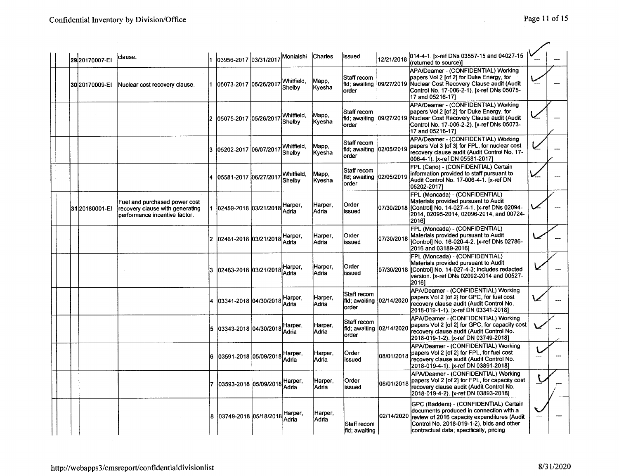|  | 2920170007-EI  | lclause.                                                                                          | 03956-2017 03/31/2017 Moniaishi Charles |                             |                          | lissued                                                   | 12/21/2018  | 014-4-1. [x-ref DNs 03557-15 and 04027-15<br>(returned to source)]                                                                                                                                                                  |  |
|--|----------------|---------------------------------------------------------------------------------------------------|-----------------------------------------|-----------------------------|--------------------------|-----------------------------------------------------------|-------------|-------------------------------------------------------------------------------------------------------------------------------------------------------------------------------------------------------------------------------------|--|
|  | 30 20170009-EI | Nuclear cost recovery clause.                                                                     | 05073-2017 05/26/2017                   | Whitfield,<br>Shelby        | Mapp.<br><b>Kyesha</b>   | Staff recom<br>lorder                                     |             | APA/Deamer - (CONFIDENTIAL) Working<br>papers Vol 2 [of 2] for Duke Energy, for<br>fild; awaiting 109/27/2019 Nuclear Cost Recovery Clause audit (Audit<br>Control No. 17-006-2-1). [x-ref DNs 05075-<br>17 and 05216-171           |  |
|  |                |                                                                                                   | 05075-2017 05/26/2017                   | Whitfield.<br>Shelby        | Mapp,<br>Kvesha          | <b>Staff recom</b><br>fid: awaiting 109/27/2019<br>lorder |             | APA/Deamer - (CONFIDENTIAL) Working<br>papers Vol 2 [of 2] for Duke Energy, for<br>Nuclear Cost Recovery Clause audit (Audit<br>Control No. 17-006-2-2). [x-ref DNs 05073-<br>17 and 05216-171                                      |  |
|  |                |                                                                                                   | 05202-2017 06/07/2017                   | Whitfield.<br>Shelby        | Mapp.<br>Kyesha          | Staff recom<br>fld; awaiting  02/05/2019<br>order         |             | APA/Deamer - (CONFIDENTIAL) Working<br>papers Vol 3 [of 3] for FPL, for nuclear cost<br>recovery clause audit (Audit Control No. 17-<br>006-4-1). [x-ref DN 05581-2017]                                                             |  |
|  |                |                                                                                                   | 4 05581-2017 06/27/2017                 | Whitfield.<br><b>Shelby</b> | Mapp,<br>Kyesha          | Staff recom<br>fld; awaiting 102/05/2019<br>order         |             | FPL (Cano) - (CONFIDENTIAL) Certain<br>information provided to staff pursuant to<br>Audit Control No. 17-006-4-1. [x-ref DN<br>05202-20171                                                                                          |  |
|  | 3120180001-EI  | Fuel and purchased power cost<br>recovery clause with generating<br>performance incentive factor. | 1 02459-2018 03/21/2018                 | Harper,<br>Adria            | Harper,<br>Adria         | Order<br>issued                                           | 07/30/2018  | FPL (Moncada) - (CONFIDENTIAL)<br>Materials provided pursuant to Audit<br>IControll No. 14-027-4-1. [x-ref DNs 02094-<br>2014, 02095-2014, 02096-2014, and 00724-<br>2016]                                                          |  |
|  |                |                                                                                                   | 2 02461-2018 03/21/2018                 | Harper,<br>Adria            | Harper,<br>lAdria        | Order<br>issued                                           | 07/30/2018  | FPL (Moncada) - (CONFIDENTIAL)<br>Materials provided pursuant to Audit<br>[Control] No. 16-020-4-2. [x-ref DNs 02786-<br>2016 and 03189-2016]                                                                                       |  |
|  |                |                                                                                                   | 3  02463-2018  03/21/2018               | Harper.<br>Adria            | Harper,<br>lAdria        | Order<br>issued                                           |             | FPL (Moncada) - (CONFIDENTIAL)<br>Materials provided pursuant to Audit<br>07/30/2018 Controll No. 14-027-4-3; includes redacted<br>version. [x-ref DNs 02092-2014 and 00527-<br>20161                                               |  |
|  |                |                                                                                                   | 03341-2018 04/30/2018                   | Harper,<br>Adria            | Harper,<br>lAdria        | Staff recom<br>fid; awaiting<br>lorder                    | 02/14/2020  | APA/Deamer - (CONFIDENTIAL) Working<br>papers Vol 2 [of 2] for GPC, for fuel cost<br>recovery clause audit (Audit Control No.<br>2018-019-1-1). [x-ref DN 03341-2018]                                                               |  |
|  |                |                                                                                                   | 5 03343-2018 04/30/2018                 | Harper,<br>Adria            | Harper,<br>Adria         | Staff recom<br>fid; awaiting 102/14/2020<br>lorder        |             | APA/Deamer - (CONFIDENTIAL) Working<br>papers Vol 2 [of 2] for GPC, for capacity cost<br>recovery clause audit (Audit Control No.<br>2018-019-1-2). [x-ref DN 03749-2018]                                                           |  |
|  |                |                                                                                                   | 6 103591-2018 105/09/2018               | Harper,<br>Adria            | Harper,<br>lAdria        | Order<br>issued                                           | 108/01/2018 | APA/Deamer - (CONFIDENTIAL) Working<br>papers Vol 2 [of 2] for FPL, for fuel cost<br>recovery clause audit (Audit Control No.<br>2018-019-4-1). [x-ref DN 03891-2018]                                                               |  |
|  |                |                                                                                                   | 7   03593-2018   05/09/2018             | Harper.<br>Adria            | Harper.<br>Adria         | Order<br>issued                                           | 08/01/2018  | APA/Deamer - (CONFIDENTIAL) Working<br>papers Vol 2 [of 2] for FPL, for capacity cost<br>recovery clause audit (Audit Control No.<br>2018-019-4-2). [x-ref DN 03893-2018]                                                           |  |
|  |                |                                                                                                   | 8 03749-2018 05/18/2018 Harper,         |                             | Harper,<br><b>IAdria</b> | Staff recom<br>fid; awaiting                              |             | GPC (Badders) - (CONFIDENTIAL) Certain<br>documents produced in connection with a<br>02/14/2020 review of 2016 capacity expenditures (Audit<br>Control No. 2018-019-1-2), bids and other<br>contractual data; specifically, pricing |  |

 $\sim$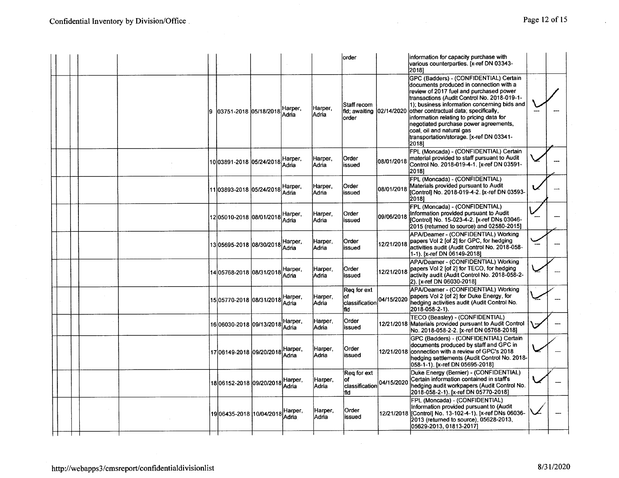|  |  |     |                                 |                  |                         | lorder                                                      |                   | information for capacity purchase with<br>various counterparties. [x-ref DN 03343-<br>20181                                                                                                                                                                                                                                                                                                                                                  |  |
|--|--|-----|---------------------------------|------------------|-------------------------|-------------------------------------------------------------|-------------------|----------------------------------------------------------------------------------------------------------------------------------------------------------------------------------------------------------------------------------------------------------------------------------------------------------------------------------------------------------------------------------------------------------------------------------------------|--|
|  |  | ۱9. | 03751-2018 05/18/2018           | Harper.<br>Adria | Harper,<br>Adria        | <b>Staff recom</b><br>fild; awaiting   02/14/2020<br>lorder |                   | GPC (Badders) - (CONFIDENTIAL) Certain<br>documents produced in connection with a<br>review of 2017 fuel and purchased power<br>transactions (Audit Control No. 2018-019-1-<br>1); business information concerning bids and<br>lother contractual data; specifically,<br>information relating to pricing data for<br>negotiated purchase power agreements,<br>coal, oil and natural gas<br>transportation/storage. [x-ref DN 03341-<br>20181 |  |
|  |  |     | 10 03891-2018 05/24/2018        | Harper.<br>Adria | Harper,<br>Adria        | Order<br>issued                                             | 08/01/2018        | FPL (Moncada) - (CONFIDENTIAL) Certain<br>material provided to staff pursuant to Audit<br>Control No. 2018-019-4-1. [x-ref DN 03591-<br>20181                                                                                                                                                                                                                                                                                                |  |
|  |  |     | 11 03893-2018 05/24/2018        | Harper,<br>Adria | Harper,<br>Adria        | Order<br>issued                                             | 08/01/2018        | FPL (Moncada) - (CONFIDENTIAL)<br>Materials provided pursuant to Audit<br>[Control] No. 2018-019-4-2. [x-ref DN 03593-<br>20181                                                                                                                                                                                                                                                                                                              |  |
|  |  |     | 1205010-2018 08/01/2018 Harper, | Adria            | Harper,<br>Adria        | Order<br>issued                                             | <b>09/06/2018</b> | FPL (Moncada) - (CONFIDENTIAL)<br>Information provided pursuant to Audit<br>[Control] No. 15-023-4-2. [x-ref DNs 03046-<br>2015 (returned to source) and 02580-2015]                                                                                                                                                                                                                                                                         |  |
|  |  |     | 13 05695-2018 08/30/2018        | Harper,<br>Adria | Harper,<br>Adria        | Order<br>issued                                             | 12/21/2018        | APA/Deamer - (CONFIDENTIAL) Working<br>papers Vol 2 [of 2] for GPC, for hedging<br>activities audit (Audit Control No. 2018-058-<br>1-1). [x-ref DN 06149-2018]                                                                                                                                                                                                                                                                              |  |
|  |  |     | 14 05768-2018 08/31/2018        | Harper,<br>Adna  | Harper,<br><b>Adria</b> | Order<br>issued                                             | 12/21/2018        | APA/Deamer - (CONFIDENTIAL) Working<br>papers Vol 2 [of 2] for TECO, for hedging<br>lactivity audit (Audit Control No. 2018-058-2-<br>2). [x-ref DN 06030-2018]                                                                                                                                                                                                                                                                              |  |
|  |  |     | 15 05770-2018  08/31/2018       | Harper.<br>Adria | Harper,<br>lAdria       | Reg for ext<br>classification 04/15/2020<br>lfid I          |                   | APA/Deamer - (CONFIDENTIAL) Working<br>papers Vol 2 [of 2] for Duke Energy, for<br>hedging activities audit (Audit Control No.<br>2018-058-2-1).                                                                                                                                                                                                                                                                                             |  |
|  |  |     | 16 06030-2018 09/13/2018        | Harper.<br>Adria | Harper,<br> Adria       | Order<br>issued                                             |                   | TECO (Beasley) - (CONFIDENTIAL)<br>12/21/2018 Materials provided pursuant to Audit Control<br>No. 2018-058-2-2. [x-ref DN 05768-2018]                                                                                                                                                                                                                                                                                                        |  |
|  |  |     | 1706149-2018 09/20/2018         | Harper,<br>Adria | Harper,<br><b>Adria</b> | Order<br>issued                                             |                   | GPC (Badders) - (CONFIDENTIAL) Certain<br>documents produced by staff and GPC in<br>12/21/2018 connection with a review of GPC's 2018<br>hedging settlements (Audit Control No. 2018-<br>058-1-1). [x-ref DN 05695-2018]                                                                                                                                                                                                                     |  |
|  |  |     | 1806152-2018 09/20/2018         | Hanper,<br>Adria | Harper,<br> Adria       | Req for ext<br>lof<br>classification<br>fld                 | 04/15/2020        | Duke Energy (Bernier) - (CONFIDENTIAL)<br>Certain information contained in staff's<br>hedging audit workpapers (Audit Control No.<br>2018-058-2-1). [x-ref DN 05770-2018]                                                                                                                                                                                                                                                                    |  |
|  |  |     |                                 | Harper,          | Harper.<br><b>Adria</b> | Order<br>issued                                             |                   | FPL (Moncada) - (CONFIDENTIAL)<br>Information provided pursuant to (Audit<br>2013 (returned to source), 05628-2013,<br>05629-2013.01813-2017]                                                                                                                                                                                                                                                                                                |  |
|  |  |     |                                 |                  |                         |                                                             |                   |                                                                                                                                                                                                                                                                                                                                                                                                                                              |  |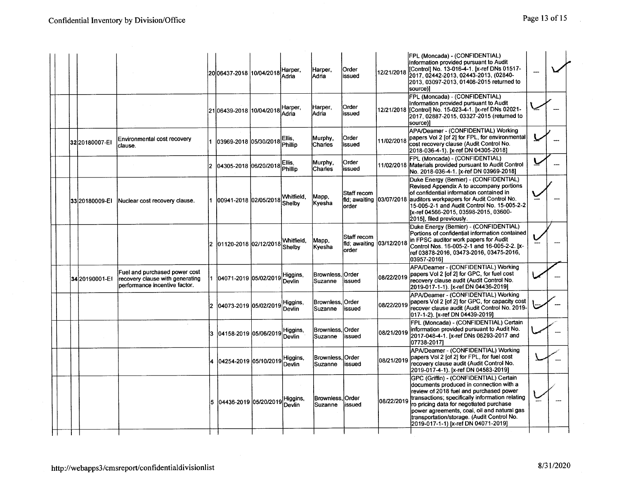|                 |                                                                                                   |     | 2006437-2018 10/04/2018   | Harper.<br>Adria         | Harper,<br>Adria            | Order<br>issued                                   | 12/21/2018 | FPL (Moncada) - (CONFIDENTIAL)<br>Information provided pursuant to Audit<br>[Control] No. 13-016-4-1. [x-ref DNs 01517-<br>2017.02442-2013.02443-2013.(02840-<br>2013, 03097-2013, 01408-2015 returned to<br>source)]                                                                                                                                          |  |
|-----------------|---------------------------------------------------------------------------------------------------|-----|---------------------------|--------------------------|-----------------------------|---------------------------------------------------|------------|----------------------------------------------------------------------------------------------------------------------------------------------------------------------------------------------------------------------------------------------------------------------------------------------------------------------------------------------------------------|--|
|                 |                                                                                                   |     | 21 06439-2018  10/04/2018 | Harper.<br>Adria         | Harper,<br>Adria            | Order<br>lissued                                  |            | FPL (Moncada) - (CONFIDENTIAL)<br>Information provided pursuant to Audit<br>12/21/2018 Controll No. 15-023-4-1. [x-ref DNs 02021-<br>2017, 02887-2015, 03327-2015 (returned to<br>source)]                                                                                                                                                                     |  |
| 3220180007-EI   | Environmental cost recovery<br>clause.                                                            |     | 03969-2018 05/30/2018     | Ellis,<br><b>Phillip</b> | Murphy,<br>Charles          | Order<br>lissued                                  | 11/02/2018 | APA/Deamer - (CONFIDENTIAL) Working<br>papers Vol 2 [of 2] for FPL, for environmental<br>cost recovery clause (Audit Control No.<br>2018-036-4-1). [x-ref DN 04305-2018]                                                                                                                                                                                       |  |
|                 |                                                                                                   |     |                           | Ellis.<br>Phillip        | Murphy,<br>Charles          | Order<br>issued                                   |            | FPL (Moncada) - (CONFIDENTIAL)<br>11/02/2018 Materials provided pursuant to Audit Control<br>No. 2018-036-4-1. [x-ref DN 03969-2018]                                                                                                                                                                                                                           |  |
| 33  20180009-EI | Nuclear cost recovery clause.                                                                     |     | 00941-2018 02/05/2018     | Whitfield.<br>Shelby     | Mapp.<br>İKvesha            | Staff recom<br>fid: awaiting<br>lorder            |            | Duke Energy (Bernier) - (CONFIDENTIAL)<br>Revised Appendix A to accompany portions<br>of confidential information contained in<br>03/07/2018 auditors workpapers for Audit Control No.<br>15-005-2-1 and Audit Control No. 15-005-2-2<br>líx-ref 04566-2015, 03598-2015, 03600-<br>2015], filed previously.                                                    |  |
|                 |                                                                                                   | 12. | 01120-2018 02/12/2018     | Whitfield,<br>Shelby     | Mapp.<br>Kyesha             | Staff recom<br>fld: awaiting 03/12/2018<br>lorder |            | Duke Energy (Bernier) - (CONFIDENTIAL)<br>Portions of confidential information contained<br>in FPSC auditor work papers for Audit<br>Control Nos. 16-005-2-1 and 16-005-2-2. [x-<br>ref 03878-2016, 03473-2016, 03475-2016,<br>03957-20161                                                                                                                     |  |
| 34 20190001-EI  | Fuel and purchased power cost<br>recovery clause with generating<br>performance incentive factor. |     | 104071-2019 105/02/2019   | Higgins,<br>Devlin       | Brownless, Order<br>Suzanne | lissued                                           | 08/22/2019 | APA/Deamer - (CONFIDENTIAL) Working<br>papers Vol 2 [of 2] for GPC, for fuel cost<br>recovery clause audit (Audit Control No.<br>2019-017-1-1). [x-ref DN 04436-2019]                                                                                                                                                                                          |  |
|                 |                                                                                                   |     | 04073-2019 05/02/2019     | Higgins,<br>Devlin       | Brownless, Order<br>Suzanne | issued                                            |            | APA/Deamer - (CONFIDENTIAL) Working<br>08/22/2019 papers Vol 2 [of 2] for GPC, for capacity cost<br>recover clause audit (Audit Control No. 2019-<br>017-1-2). [x-ref DN 04439-2019]                                                                                                                                                                           |  |
|                 |                                                                                                   | 13. | 04158-2019 05/06/2019     | Higgins,<br>Devlin       | Brownless Order<br>Suzanne  | issued                                            | 08/21/2019 | FPL (Moncada) - (CONFIDENTIAL) Certain<br>information provided pursuant to Audit No.<br>2017-048-4-1. [x-ref DNs 08293-2017 and<br>07738-20171                                                                                                                                                                                                                 |  |
|                 |                                                                                                   |     | 04254-2019 05/10/2019     | Higgins,<br>Devlin       | Brownless, Order<br>Suzanne | issued                                            | 08/21/2019 | APA/Deamer - (CONFIDENTIAL) Working<br>papers Vol 2 [of 2] for FPL, for fuel cost<br>recovery clause audit (Audit Control No.<br>2019-017-4-1). [x-ref DN 04583-2019]                                                                                                                                                                                          |  |
|                 |                                                                                                   | 5   | 04436-2019 05/20/2019     | Higgins,<br>Devlin       | Brownless, Order<br>Suzanne | lissued                                           | 08/22/2019 | GPC (Griffin) - (CONFIDENTIAL) Certain<br>documents produced in connection with a<br>review of 2018 fuel and purchased power<br>transactions; specifically information relating<br>ro pricing data for negotiated purchase<br>power agreements, coal, oil and natural gas<br>transportation/storage. (Audit Control No.<br>2019-017-1-1) [x-ref DN 04071-2019] |  |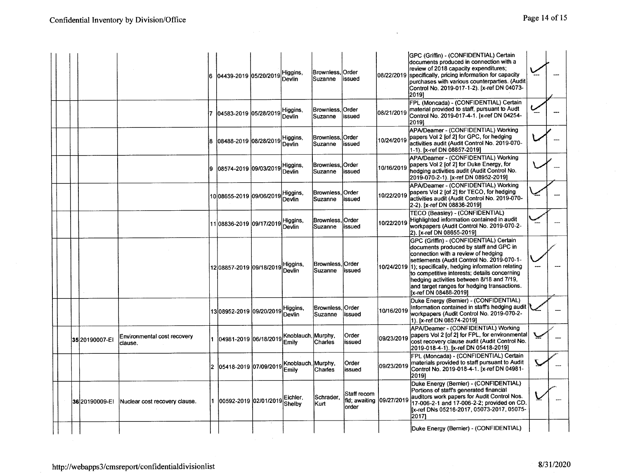|                 |                                        | 6  04439-2019  05/20/2019                | Higgins,<br>Devlin          | Brownless, Order<br>Suzanne         | lissued                               |            | GPC (Griffin) - (CONFIDENTIAL) Certain<br>documents produced in connection with a<br>review of 2018 capacity expenditures;<br>08/22/2019 specifically, pricing information for capacity<br>purchases with various counterparties. (Audit<br>Control No. 2019-017-1-2). [x-ref DN 04073-<br>20191                                                                                                        |  |
|-----------------|----------------------------------------|------------------------------------------|-----------------------------|-------------------------------------|---------------------------------------|------------|---------------------------------------------------------------------------------------------------------------------------------------------------------------------------------------------------------------------------------------------------------------------------------------------------------------------------------------------------------------------------------------------------------|--|
|                 |                                        | 04583-2019 05/28/2019                    | Higgins,<br>Devlin          | Brownless.<br>Suzanne               | <b>Order</b><br>issued                | 08/21/2019 | FPL (Moncada) - (CONFIDENTIAL) Certain<br>material provided to staff, pursuant to Audt<br>Control No. 2019-017-4-1. [x-ref DN 04254-<br>20191                                                                                                                                                                                                                                                           |  |
|                 |                                        | 08488-2019 08/28/2019                    | Higgins,<br>Devlin          | Brownless, Order<br>Suzanne         | issued                                | 10/24/2019 | APA/Deamer - (CONFIDENTIAL) Working<br>papers Vol 2 [of 2] for GPC, for hedging<br>activities audit (Audit Control No. 2019-070-<br>1-1). [x-ref DN 08857-2019]                                                                                                                                                                                                                                         |  |
|                 |                                        | 08574-2019 09/03/2019                    | Higgins,<br>Devlin          | Brownless,<br>Suzanne               | Order<br>lissued                      | 10/16/2019 | APA/Deamer - (CONFIDENTIAL) Working<br>papers Vol 2 [of 2] for Duke Energy, for<br>hedging activities audit (Audit Control No.<br>2019-070-2-1). [x-ref DN 08952-2019]                                                                                                                                                                                                                                  |  |
|                 |                                        | 10 08655-2019 09/06/2019                 | Higgins,<br>Devlin          | Brownless. Order<br><b>ISuzanne</b> | issued                                | 10/22/2019 | APA/Deamer - (CONFIDENTIAL) Working<br>papers Vol 2 [of 2] for TECO, for hedging<br>activities audit (Audit Control No. 2019-070-<br>2-2). [x-ref DN 08836-2019]                                                                                                                                                                                                                                        |  |
|                 |                                        | 11 08836-2019 09/17/2019                 | Higgins,<br>Devlin          | Brownless. Order<br>Suzanne         | lissued                               | 10/22/2019 | TECO (Beasley) - (CONFIDENTIAL)<br>Highlighted information contained in audit<br>workpapers (Audit Control No. 2019-070-2-<br>2). [x-ref DN 08655-2019]                                                                                                                                                                                                                                                 |  |
|                 |                                        | 12 08857-2019 09/18/2019  Higgins,       |                             | Brownless. Order<br>Suzanne         | lissued                               |            | GPC (Griffin) - (CONFIDENTIAL) Certain<br>documents produced by staff and GPC in<br>connection with a review of hedging<br>settiements (Audit Control No. 2019-070-1-<br>10/24/2019 1); specifically, hedging information relating<br>to competitive interests; details concerning<br>hedging activities between 8/18 and 7/19,<br>and target ranges for hedging transactions.<br>Ix-ref DN 08488-20191 |  |
|                 |                                        | 13 08952-2019 09/20/2019                 | Higgins,<br><b>Devlin</b>   | Brownless. Order<br>Suzanne         | lissued                               | 10/16/2019 | Duke Energy (Bernier) - (CONFIDENTIAL)<br>Information contained in staff's hedging audit<br>workpapers (Audit Control No. 2019-070-2-<br>1). [x-ref DN 08574-2019]                                                                                                                                                                                                                                      |  |
| 3520190007-EI   | Environmental cost recovery<br>clause. | 04981-2019 06/18/2019 Knoblauch, Murphy, |                             |                                     | Order<br>issued                       | 09/23/2019 | APA/Deamer - (CONFIDENTIAL) Working<br>papers Vol 2 [of 2] for FPL, for environmental<br>cost recovery clause audit (Audit Control No.<br>2019-018-4-1). [x-ref DN 05418-2019]                                                                                                                                                                                                                          |  |
|                 |                                        | 05418-2019 07/09/2019                    | Knoblauch. Murphy.<br>Emily | Chanes                              | <b>Order</b><br>lissued               | 09/23/2019 | FPL (Moncada) - (CONFIDENTIAL) Certain<br>materials provided to staff pursuant to Audit<br>Control No. 2019-018-4-1. [x-ref DN 04981-<br>2019]                                                                                                                                                                                                                                                          |  |
| 36 2019 0009-EI | Nuclear cost recovery clause.          | 00592-2019 02/01/2019 Shelby             |                             | Schrader.<br>Kurt                   | Staff recom<br>fld: awaiting<br>order | 09/27/2019 | Duke Energy (Bernier) - (CONFIDENTIAL)<br>Portions of staff's generated financial<br>auditors work papers for Audit Control Nos.<br>17-006-2-1 and 17-006-2-2; provided on CD.<br>[x-ref DNs 05216-2017, 05073-2017, 05075-<br>2017)                                                                                                                                                                    |  |
|                 |                                        |                                          |                             |                                     |                                       |            | Duke Energy (Bernier) - (CONFIDENTIAL)                                                                                                                                                                                                                                                                                                                                                                  |  |

 $\mathcal{L}$